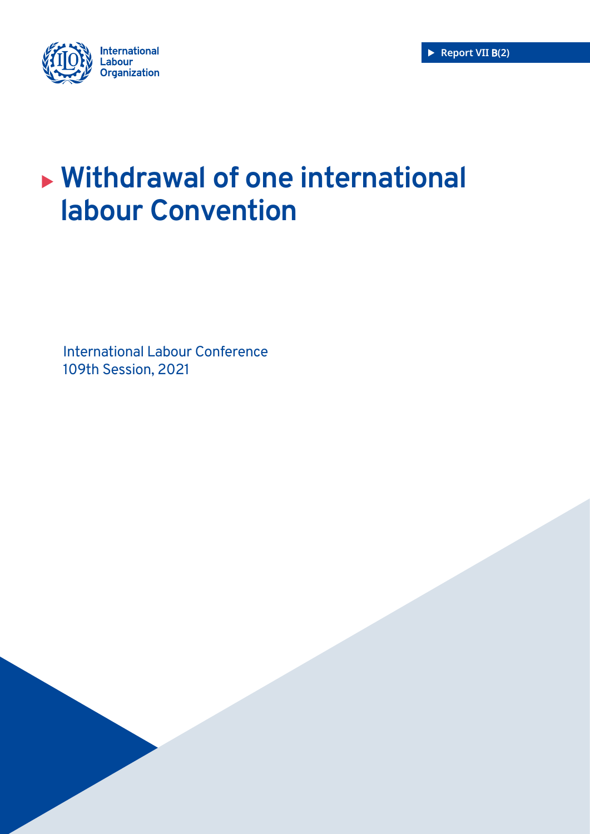



# <sup>X</sup> **Withdrawal of one international labour Convention**

International Labour Conference 109th Session, 2021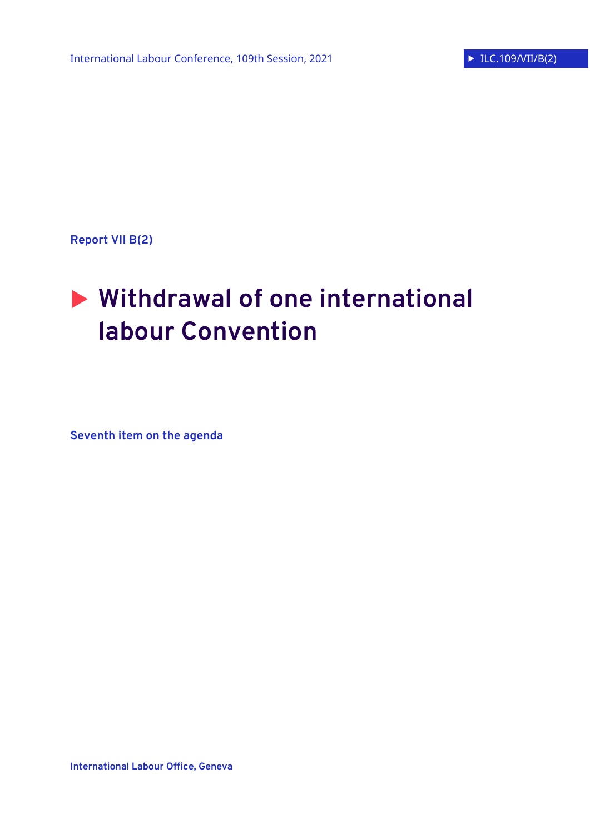**Report VII B(2)**

# **Withdrawal of one international labour Convention**

**Seventh item on the agenda**

**International Labour Office, Geneva**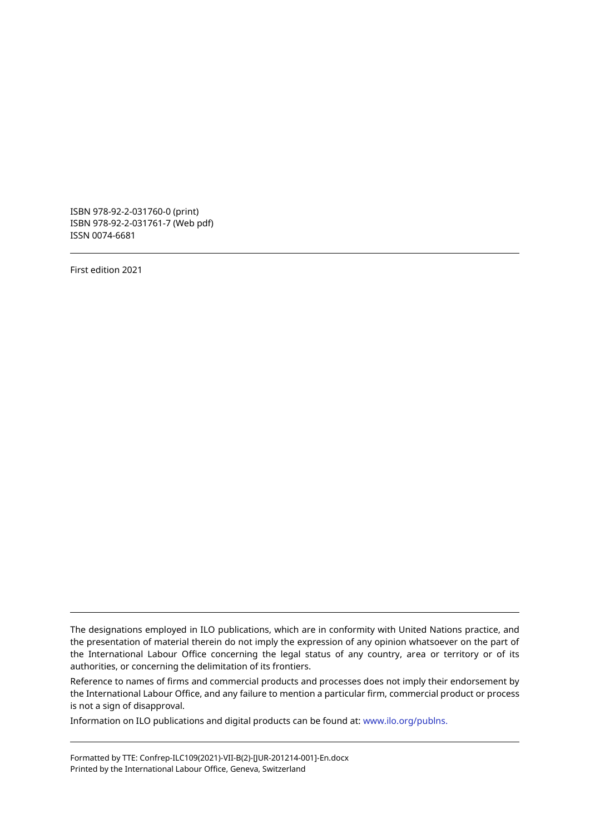ISBN 978-92-2-031760-0 (print) ISBN 978-92-2-031761-7 (Web pdf) ISSN 0074-6681

First edition 2021

The designations employed in ILO publications, which are in conformity with United Nations practice, and the presentation of material therein do not imply the expression of any opinion whatsoever on the part of the International Labour Office concerning the legal status of any country, area or territory or of its authorities, or concerning the delimitation of its frontiers.

Reference to names of firms and commercial products and processes does not imply their endorsement by the International Labour Office, and any failure to mention a particular firm, commercial product or process is not a sign of disapproval.

Information on ILO publications and digital products can be found at: www.ilo.org/publns.

Formatted by TTE: Confrep-ILC109(2021)-VII-B(2)-[JUR-201214-001]-En.docx Printed by the International Labour Office, Geneva, Switzerland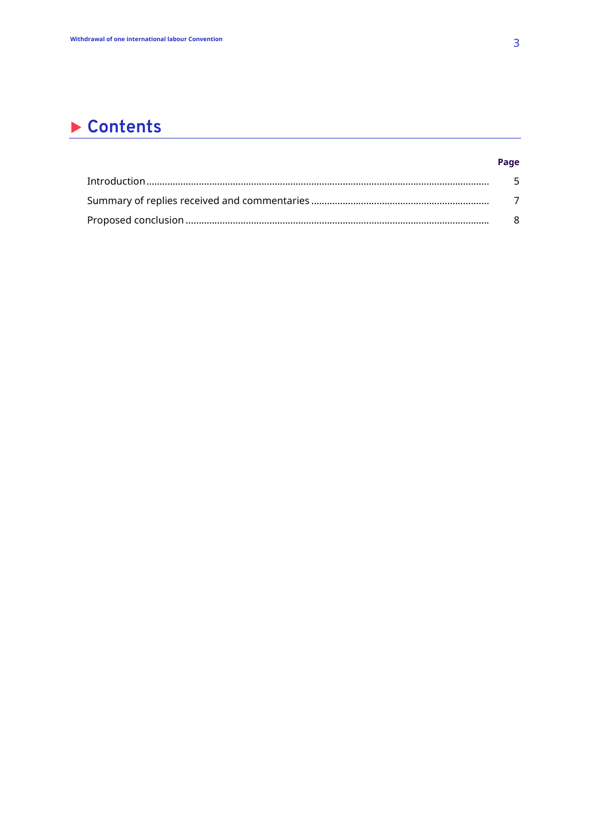# Contents

| - 5 |
|-----|
|     |
| R.  |

Page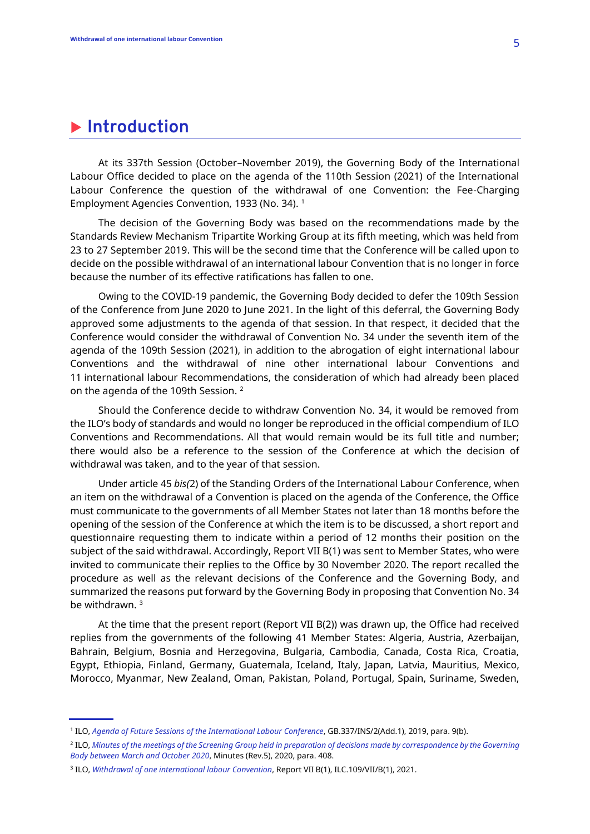## **Introduction**

At its 337th Session (October–November 2019), the Governing Body of the International Labour Office decided to place on the agenda of the 110th Session (2021) of the International Labour Conference the question of the withdrawal of one Convention: the Fee-Charging Employment Agencies Convention, 1933 (No. 34).<sup>1</sup>

The decision of the Governing Body was based on the recommendations made by the Standards Review Mechanism Tripartite Working Group at its fifth meeting, which was held from 23 to 27 September 2019. This will be the second time that the Conference will be called upon to decide on the possible withdrawal of an international labour Convention that is no longer in force because the number of its effective ratifications has fallen to one.

Owing to the COVID-19 pandemic, the Governing Body decided to defer the 109th Session of the Conference from June 2020 to June 2021. In the light of this deferral, the Governing Body approved some adjustments to the agenda of that session. In that respect, it decided that the Conference would consider the withdrawal of Convention No. 34 under the seventh item of the agenda of the 109th Session (2021), in addition to the abrogation of eight international labour Conventions and the withdrawal of nine other international labour Conventions and 11 international labour Recommendations, the consideration of which had already been placed on the agenda of the 109th Session. <sup>2</sup>

Should the Conference decide to withdraw Convention No. 34, it would be removed from the ILO's body of standards and would no longer be reproduced in the official compendium of ILO Conventions and Recommendations. All that would remain would be its full title and number; there would also be a reference to the session of the Conference at which the decision of withdrawal was taken, and to the year of that session.

Under article 45 *bis(*2) of the Standing Orders of the International Labour Conference, when an item on the withdrawal of a Convention is placed on the agenda of the Conference, the Office must communicate to the governments of all Member States not later than 18 months before the opening of the session of the Conference at which the item is to be discussed, a short report and questionnaire requesting them to indicate within a period of 12 months their position on the subject of the said withdrawal. Accordingly, Report VII B(1) was sent to Member States, who were invited to communicate their replies to the Office by 30 November 2020. The report recalled the procedure as well as the relevant decisions of the Conference and the Governing Body, and summarized the reasons put forward by the Governing Body in proposing that Convention No. 34 be withdrawn. <sup>3</sup>

At the time that the present report (Report VII B(2)) was drawn up, the Office had received replies from the governments of the following 41 Member States: Algeria, Austria, Azerbaijan, Bahrain, Belgium, Bosnia and Herzegovina, Bulgaria, Cambodia, Canada, Costa Rica, Croatia, Egypt, Ethiopia, Finland, Germany, Guatemala, Iceland, Italy, Japan, Latvia, Mauritius, Mexico, Morocco, Myanmar, New Zealand, Oman, Pakistan, Poland, Portugal, Spain, Suriname, Sweden,

<sup>1</sup> ILO, *[Agenda of Future Sessions of the International Labour Conference](https://www.ilo.org/wcmsp5/groups/public/---ed_norm/---relconf/documents/meetingdocument/wcms_724031.pdf)*, GB.337/INS/2(Add.1), 2019, para. 9(b).

<sup>2</sup> ILO, *[Minutes of the meetings of the Screening Group held in preparation of decisions made by correspondence by the Governing](https://www.ilo.org/wcmsp5/groups/public/---ed_norm/---relconf/documents/meetingdocument/wcms_741371.pdf)  [Body between March and October 2020](https://www.ilo.org/wcmsp5/groups/public/---ed_norm/---relconf/documents/meetingdocument/wcms_741371.pdf)*, Minutes (Rev.5), 2020, para. 408.

<sup>3</sup> ILO, *[Withdrawal of one international labour Convention](https://www.ilo.org/wcmsp5/groups/public/---ed_norm/---relconf/documents/meetingdocument/wcms_728103.pdf)*, Report VII B(1), ILC.109/VII/B(1), 2021.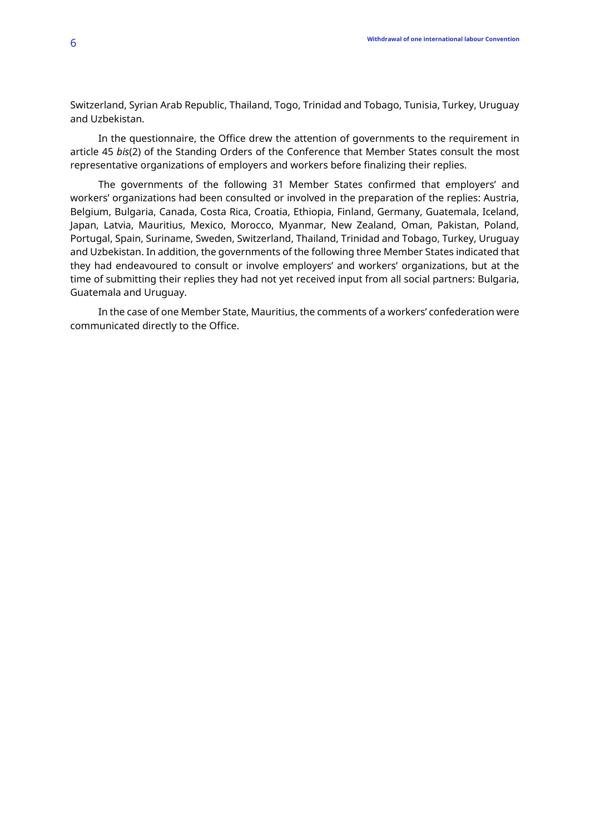Switzerland, Syrian Arab Republic, Thailand, Togo, Trinidad and Tobago, Tunisia, Turkey, Uruguay and Uzbekistan.

In the questionnaire, the Office drew the attention of governments to the requirement in article 45 *bis*(2) of the Standing Orders of the Conference that Member States consult the most representative organizations of employers and workers before finalizing their replies.

The governments of the following 31 Member States confirmed that employers' and workers' organizations had been consulted or involved in the preparation of the replies: Austria, Belgium, Bulgaria, Canada, Costa Rica, Croatia, Ethiopia, Finland, Germany, Guatemala, Iceland, Japan, Latvia, Mauritius, Mexico, Morocco, Myanmar, New Zealand, Oman, Pakistan, Poland, Portugal, Spain, Suriname, Sweden, Switzerland, Thailand, Trinidad and Tobago, Turkey, Uruguay and Uzbekistan. In addition, the governments of the following three Member States indicated that they had endeavoured to consult or involve employers' and workers' organizations, but at the time of submitting their replies they had not yet received input from all social partners: Bulgaria, Guatemala and Uruguay.

In the case of one Member State, Mauritius, the comments of a workers' confederation were communicated directly to the Office.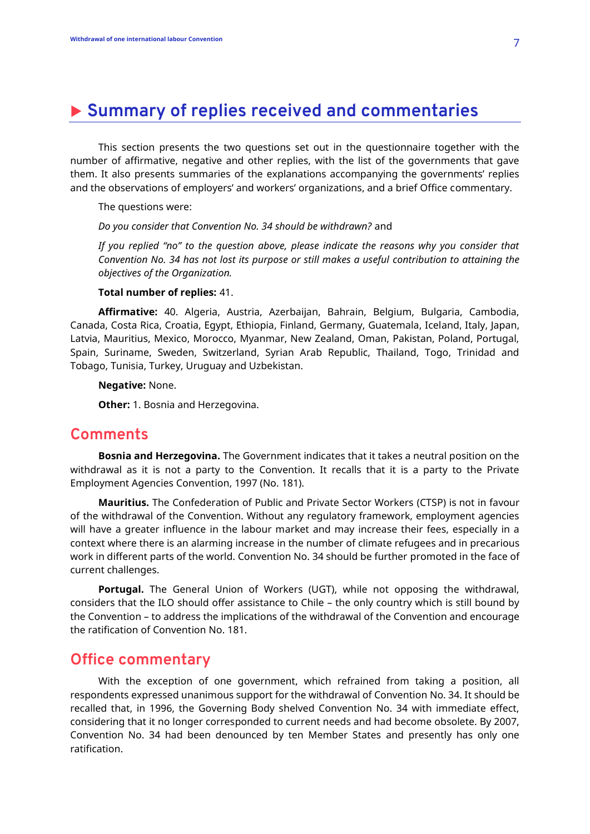# **Summary of replies received and commentaries**

This section presents the two questions set out in the questionnaire together with the number of affirmative, negative and other replies, with the list of the governments that gave them. It also presents summaries of the explanations accompanying the governments' replies and the observations of employers' and workers' organizations, and a brief Office commentary.

The questions were:

*Do you consider that Convention No. 34 should be withdrawn?* and

*If you replied "no" to the question above, please indicate the reasons why you consider that Convention No. 34 has not lost its purpose or still makes a useful contribution to attaining the objectives of the Organization.*

#### **Total number of replies:** 41.

**Affirmative:** 40. Algeria, Austria, Azerbaijan, Bahrain, Belgium, Bulgaria, Cambodia, Canada, Costa Rica, Croatia, Egypt, Ethiopia, Finland, Germany, Guatemala, Iceland, Italy, Japan, Latvia, Mauritius, Mexico, Morocco, Myanmar, New Zealand, Oman, Pakistan, Poland, Portugal, Spain, Suriname, Sweden, Switzerland, Syrian Arab Republic, Thailand, Togo, Trinidad and Tobago, Tunisia, Turkey, Uruguay and Uzbekistan.

#### **Negative:** None.

**Other:** 1. Bosnia and Herzegovina.

### **Comments**

**Bosnia and Herzegovina.** The Government indicates that it takes a neutral position on the withdrawal as it is not a party to the Convention. It recalls that it is a party to the Private Employment Agencies Convention, 1997 (No. 181).

**Mauritius.** The Confederation of Public and Private Sector Workers (CTSP) is not in favour of the withdrawal of the Convention. Without any regulatory framework, employment agencies will have a greater influence in the labour market and may increase their fees, especially in a context where there is an alarming increase in the number of climate refugees and in precarious work in different parts of the world. Convention No. 34 should be further promoted in the face of current challenges.

**Portugal.** The General Union of Workers (UGT), while not opposing the withdrawal, considers that the ILO should offer assistance to Chile – the only country which is still bound by the Convention – to address the implications of the withdrawal of the Convention and encourage the ratification of Convention No. 181.

### **Office commentary**

With the exception of one government, which refrained from taking a position, all respondents expressed unanimous support for the withdrawal of Convention No. 34. It should be recalled that, in 1996, the Governing Body shelved Convention No. 34 with immediate effect, considering that it no longer corresponded to current needs and had become obsolete. By 2007, Convention No. 34 had been denounced by ten Member States and presently has only one ratification.